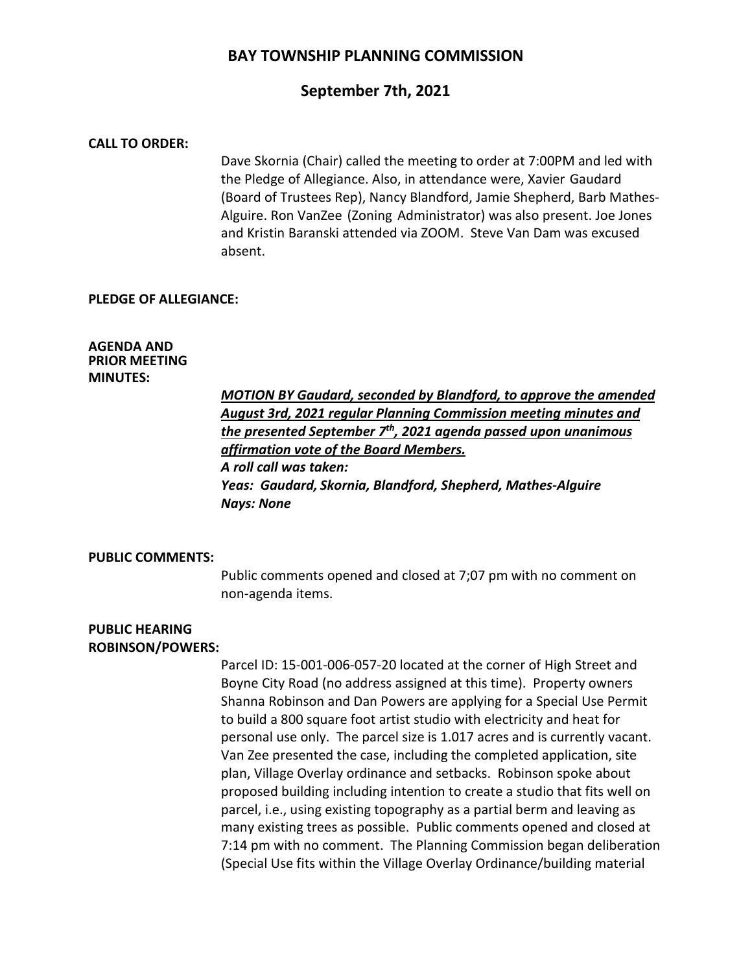### **September 7th, 2021**

#### **CALL TO ORDER:**

Dave Skornia (Chair) called the meeting to order at 7:00PM and led with the Pledge of Allegiance. Also, in attendance were, Xavier Gaudard (Board of Trustees Rep), Nancy Blandford, Jamie Shepherd, Barb Mathes-Alguire. Ron VanZee (Zoning Administrator) was also present. Joe Jones and Kristin Baranski attended via ZOOM. Steve Van Dam was excused absent.

#### **PLEDGE OF ALLEGIANCE:**

#### **AGENDA AND PRIOR MEETING MINUTES:**

*MOTION BY Gaudard, seconded by Blandford, to approve the amended August 3rd, 2021 regular Planning Commission meeting minutes and the presented September 7th, 2021 agenda passed upon unanimous affirmation vote of the Board Members. A roll call was taken: Yeas: Gaudard, Skornia, Blandford, Shepherd, Mathes-Alguire Nays: None*

#### **PUBLIC COMMENTS:**

Public comments opened and closed at 7;07 pm with no comment on non-agenda items.

#### **PUBLIC HEARING ROBINSON/POWERS:**

Parcel ID: 15-001-006-057-20 located at the corner of High Street and Boyne City Road (no address assigned at this time). Property owners Shanna Robinson and Dan Powers are applying for a Special Use Permit to build a 800 square foot artist studio with electricity and heat for personal use only. The parcel size is 1.017 acres and is currently vacant. Van Zee presented the case, including the completed application, site plan, Village Overlay ordinance and setbacks. Robinson spoke about proposed building including intention to create a studio that fits well on parcel, i.e., using existing topography as a partial berm and leaving as many existing trees as possible. Public comments opened and closed at 7:14 pm with no comment. The Planning Commission began deliberation (Special Use fits within the Village Overlay Ordinance/building material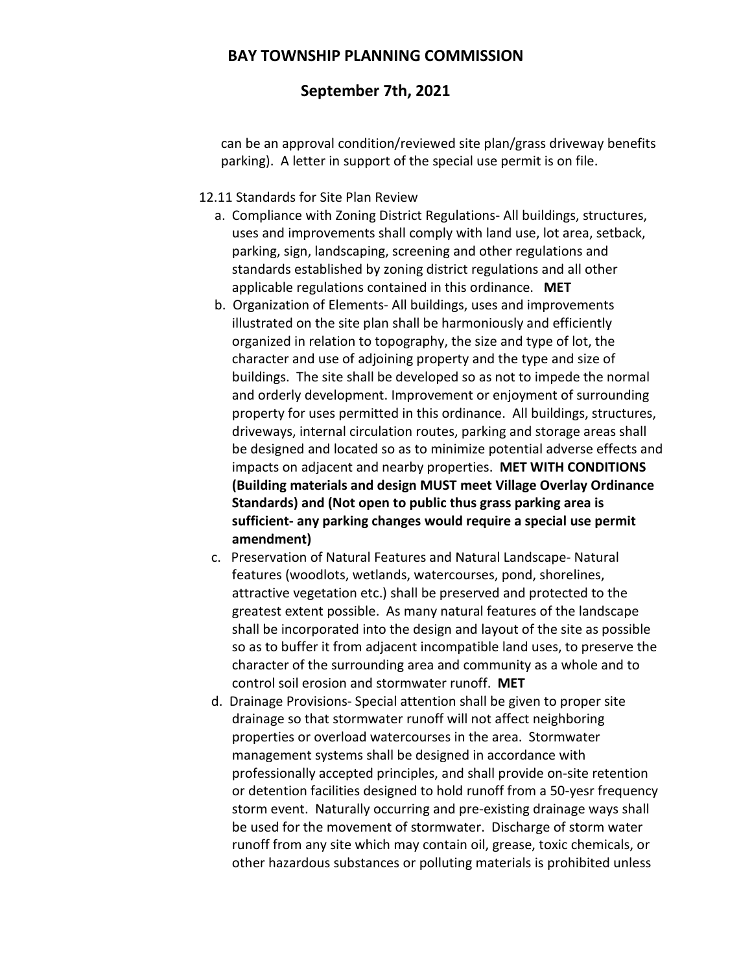## **September 7th, 2021**

can be an approval condition/reviewed site plan/grass driveway benefits parking). A letter in support of the special use permit is on file.

### 12.11 Standards for Site Plan Review

- a. Compliance with Zoning District Regulations- All buildings, structures, uses and improvements shall comply with land use, lot area, setback, parking, sign, landscaping, screening and other regulations and standards established by zoning district regulations and all other applicable regulations contained in this ordinance. **MET**
- b. Organization of Elements- All buildings, uses and improvements illustrated on the site plan shall be harmoniously and efficiently organized in relation to topography, the size and type of lot, the character and use of adjoining property and the type and size of buildings. The site shall be developed so as not to impede the normal and orderly development. Improvement or enjoyment of surrounding property for uses permitted in this ordinance. All buildings, structures, driveways, internal circulation routes, parking and storage areas shall be designed and located so as to minimize potential adverse effects and impacts on adjacent and nearby properties. **MET WITH CONDITIONS (Building materials and design MUST meet Village Overlay Ordinance Standards) and (Not open to public thus grass parking area is sufficient- any parking changes would require a special use permit amendment)**
- c. Preservation of Natural Features and Natural Landscape- Natural features (woodlots, wetlands, watercourses, pond, shorelines, attractive vegetation etc.) shall be preserved and protected to the greatest extent possible. As many natural features of the landscape shall be incorporated into the design and layout of the site as possible so as to buffer it from adjacent incompatible land uses, to preserve the character of the surrounding area and community as a whole and to control soil erosion and stormwater runoff. **MET**
- d. Drainage Provisions- Special attention shall be given to proper site drainage so that stormwater runoff will not affect neighboring properties or overload watercourses in the area. Stormwater management systems shall be designed in accordance with professionally accepted principles, and shall provide on-site retention or detention facilities designed to hold runoff from a 50-yesr frequency storm event. Naturally occurring and pre-existing drainage ways shall be used for the movement of stormwater. Discharge of storm water runoff from any site which may contain oil, grease, toxic chemicals, or other hazardous substances or polluting materials is prohibited unless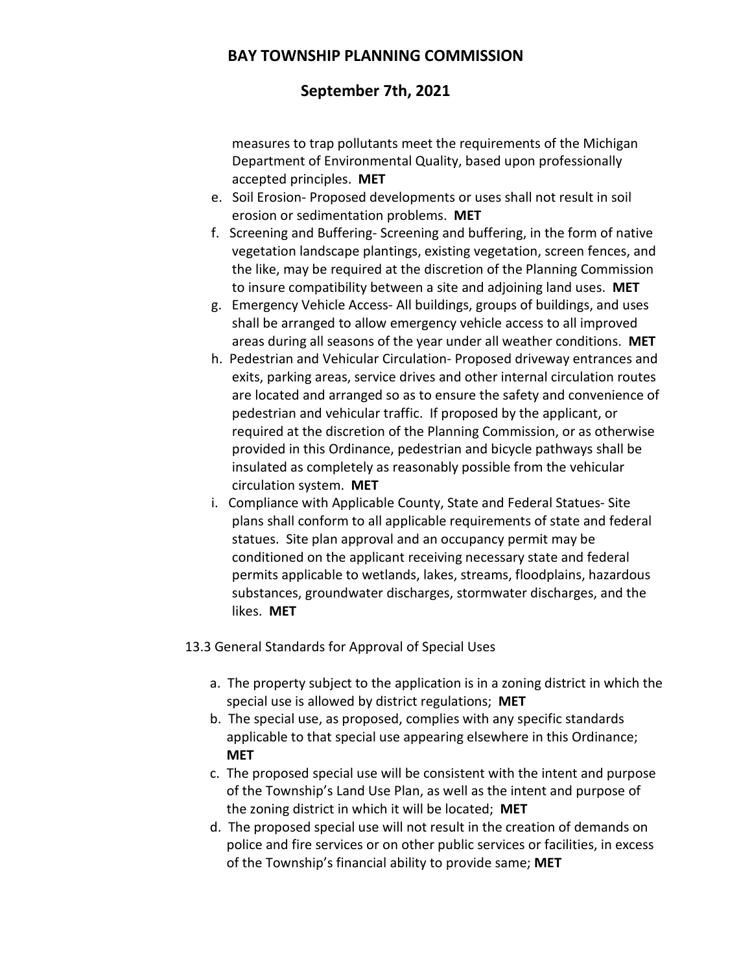# **September 7th, 2021**

measures to trap pollutants meet the requirements of the Michigan Department of Environmental Quality, based upon professionally accepted principles. **MET**

- e. Soil Erosion- Proposed developments or uses shall not result in soil erosion or sedimentation problems. **MET**
- f. Screening and Buffering- Screening and buffering, in the form of native vegetation landscape plantings, existing vegetation, screen fences, and the like, may be required at the discretion of the Planning Commission to insure compatibility between a site and adjoining land uses. **MET**
- g. Emergency Vehicle Access- All buildings, groups of buildings, and uses shall be arranged to allow emergency vehicle access to all improved areas during all seasons of the year under all weather conditions. **MET**
- h. Pedestrian and Vehicular Circulation- Proposed driveway entrances and exits, parking areas, service drives and other internal circulation routes are located and arranged so as to ensure the safety and convenience of pedestrian and vehicular traffic. If proposed by the applicant, or required at the discretion of the Planning Commission, or as otherwise provided in this Ordinance, pedestrian and bicycle pathways shall be insulated as completely as reasonably possible from the vehicular circulation system. **MET**
- i. Compliance with Applicable County, State and Federal Statues- Site plans shall conform to all applicable requirements of state and federal statues. Site plan approval and an occupancy permit may be conditioned on the applicant receiving necessary state and federal permits applicable to wetlands, lakes, streams, floodplains, hazardous substances, groundwater discharges, stormwater discharges, and the likes. **MET**

13.3 General Standards for Approval of Special Uses

- a. The property subject to the application is in a zoning district in which the special use is allowed by district regulations; **MET**
- b. The special use, as proposed, complies with any specific standards applicable to that special use appearing elsewhere in this Ordinance; **MET**
- c. The proposed special use will be consistent with the intent and purpose of the Township's Land Use Plan, as well as the intent and purpose of the zoning district in which it will be located; **MET**
- d. The proposed special use will not result in the creation of demands on police and fire services or on other public services or facilities, in excess of the Township's financial ability to provide same; **MET**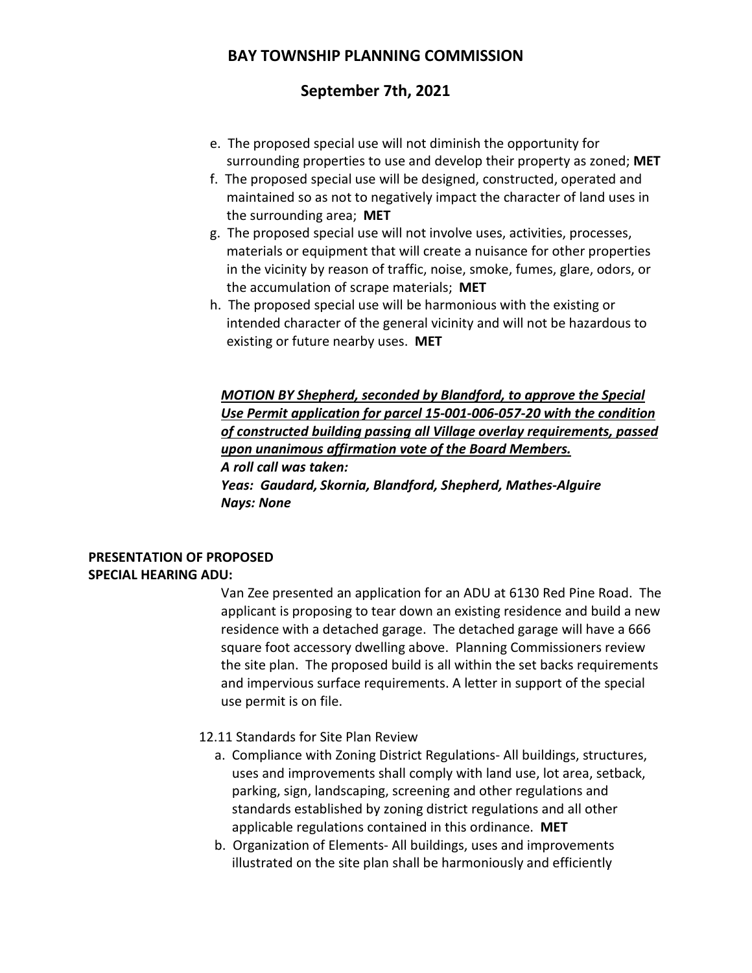# **September 7th, 2021**

- e. The proposed special use will not diminish the opportunity for surrounding properties to use and develop their property as zoned; **MET**
- f. The proposed special use will be designed, constructed, operated and maintained so as not to negatively impact the character of land uses in the surrounding area; **MET**
- g. The proposed special use will not involve uses, activities, processes, materials or equipment that will create a nuisance for other properties in the vicinity by reason of traffic, noise, smoke, fumes, glare, odors, or the accumulation of scrape materials; **MET**
- h. The proposed special use will be harmonious with the existing or intended character of the general vicinity and will not be hazardous to existing or future nearby uses. **MET**

*MOTION BY Shepherd, seconded by Blandford, to approve the Special Use Permit application for parcel 15-001-006-057-20 with the condition of constructed building passing all Village overlay requirements, passed upon unanimous affirmation vote of the Board Members. A roll call was taken: Yeas: Gaudard, Skornia, Blandford, Shepherd, Mathes-Alguire Nays: None*

### **PRESENTATION OF PROPOSED SPECIAL HEARING ADU:**

Van Zee presented an application for an ADU at 6130 Red Pine Road. The applicant is proposing to tear down an existing residence and build a new residence with a detached garage. The detached garage will have a 666 square foot accessory dwelling above. Planning Commissioners review the site plan. The proposed build is all within the set backs requirements and impervious surface requirements. A letter in support of the special use permit is on file.

12.11 Standards for Site Plan Review

- a. Compliance with Zoning District Regulations- All buildings, structures, uses and improvements shall comply with land use, lot area, setback, parking, sign, landscaping, screening and other regulations and standards established by zoning district regulations and all other applicable regulations contained in this ordinance. **MET**
- b. Organization of Elements- All buildings, uses and improvements illustrated on the site plan shall be harmoniously and efficiently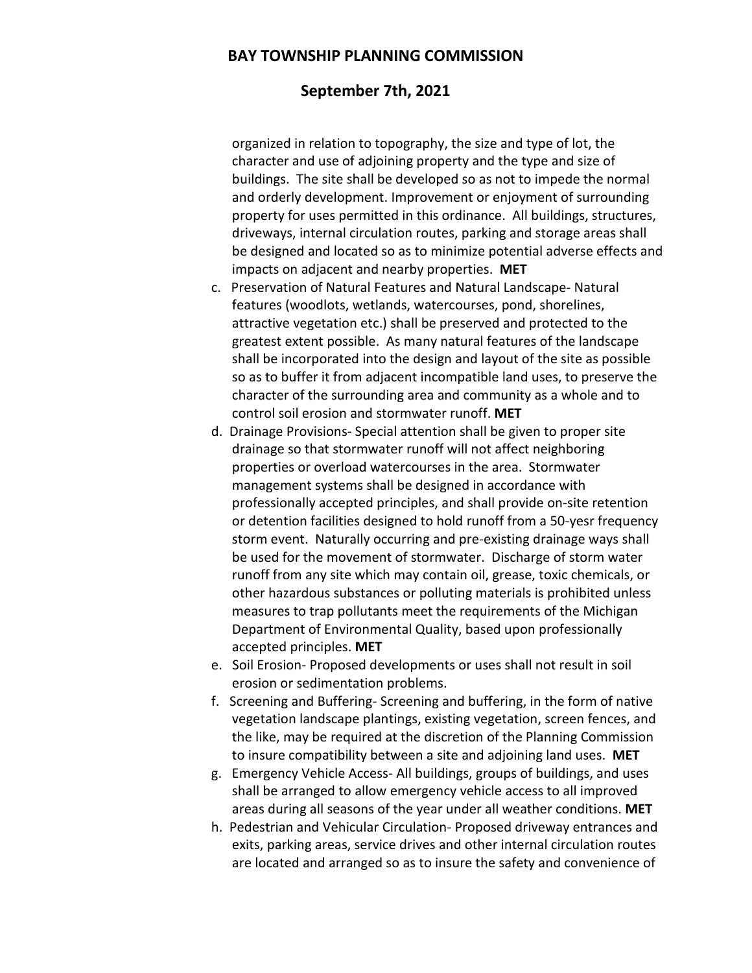### **September 7th, 2021**

organized in relation to topography, the size and type of lot, the character and use of adjoining property and the type and size of buildings. The site shall be developed so as not to impede the normal and orderly development. Improvement or enjoyment of surrounding property for uses permitted in this ordinance. All buildings, structures, driveways, internal circulation routes, parking and storage areas shall be designed and located so as to minimize potential adverse effects and impacts on adjacent and nearby properties. **MET**

- c. Preservation of Natural Features and Natural Landscape- Natural features (woodlots, wetlands, watercourses, pond, shorelines, attractive vegetation etc.) shall be preserved and protected to the greatest extent possible. As many natural features of the landscape shall be incorporated into the design and layout of the site as possible so as to buffer it from adjacent incompatible land uses, to preserve the character of the surrounding area and community as a whole and to control soil erosion and stormwater runoff. **MET**
- d. Drainage Provisions- Special attention shall be given to proper site drainage so that stormwater runoff will not affect neighboring properties or overload watercourses in the area. Stormwater management systems shall be designed in accordance with professionally accepted principles, and shall provide on-site retention or detention facilities designed to hold runoff from a 50-yesr frequency storm event. Naturally occurring and pre-existing drainage ways shall be used for the movement of stormwater. Discharge of storm water runoff from any site which may contain oil, grease, toxic chemicals, or other hazardous substances or polluting materials is prohibited unless measures to trap pollutants meet the requirements of the Michigan Department of Environmental Quality, based upon professionally accepted principles. **MET**
- e. Soil Erosion- Proposed developments or uses shall not result in soil erosion or sedimentation problems.
- f. Screening and Buffering- Screening and buffering, in the form of native vegetation landscape plantings, existing vegetation, screen fences, and the like, may be required at the discretion of the Planning Commission to insure compatibility between a site and adjoining land uses. **MET**
- g. Emergency Vehicle Access- All buildings, groups of buildings, and uses shall be arranged to allow emergency vehicle access to all improved areas during all seasons of the year under all weather conditions. **MET**
- h. Pedestrian and Vehicular Circulation- Proposed driveway entrances and exits, parking areas, service drives and other internal circulation routes are located and arranged so as to insure the safety and convenience of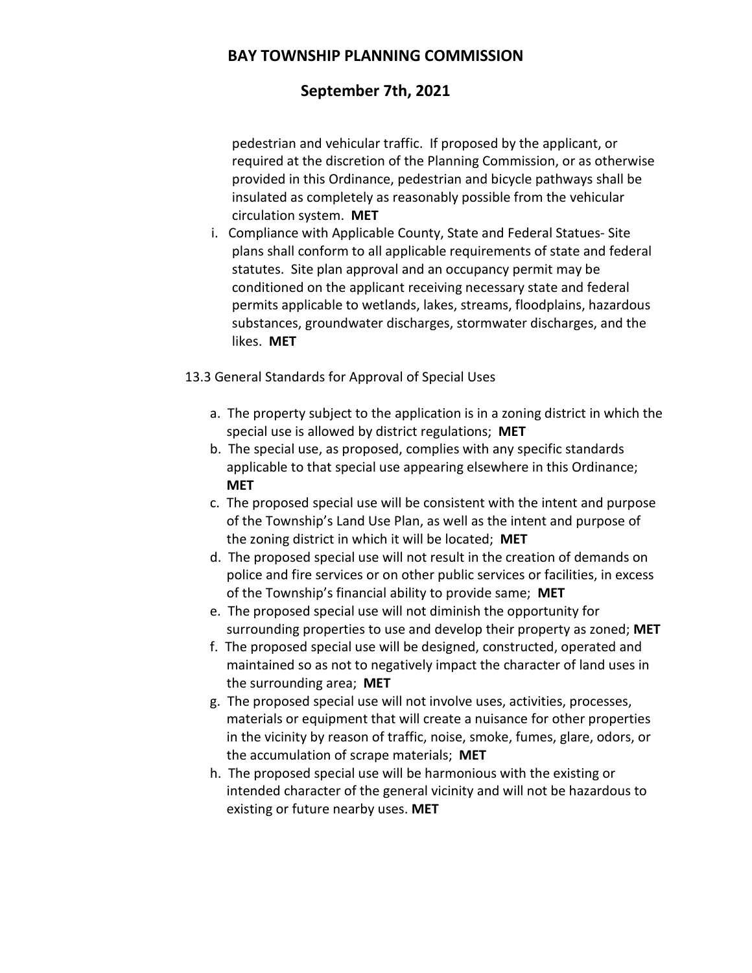# **September 7th, 2021**

pedestrian and vehicular traffic. If proposed by the applicant, or required at the discretion of the Planning Commission, or as otherwise provided in this Ordinance, pedestrian and bicycle pathways shall be insulated as completely as reasonably possible from the vehicular circulation system. **MET**

 i. Compliance with Applicable County, State and Federal Statues- Site plans shall conform to all applicable requirements of state and federal statutes. Site plan approval and an occupancy permit may be conditioned on the applicant receiving necessary state and federal permits applicable to wetlands, lakes, streams, floodplains, hazardous substances, groundwater discharges, stormwater discharges, and the likes. **MET**

13.3 General Standards for Approval of Special Uses

- a. The property subject to the application is in a zoning district in which the special use is allowed by district regulations; **MET**
- b. The special use, as proposed, complies with any specific standards applicable to that special use appearing elsewhere in this Ordinance; **MET**
- c. The proposed special use will be consistent with the intent and purpose of the Township's Land Use Plan, as well as the intent and purpose of the zoning district in which it will be located; **MET**
- d. The proposed special use will not result in the creation of demands on police and fire services or on other public services or facilities, in excess of the Township's financial ability to provide same; **MET**
- e. The proposed special use will not diminish the opportunity for surrounding properties to use and develop their property as zoned; **MET**
- f. The proposed special use will be designed, constructed, operated and maintained so as not to negatively impact the character of land uses in the surrounding area; **MET**
- g. The proposed special use will not involve uses, activities, processes, materials or equipment that will create a nuisance for other properties in the vicinity by reason of traffic, noise, smoke, fumes, glare, odors, or the accumulation of scrape materials; **MET**
- h. The proposed special use will be harmonious with the existing or intended character of the general vicinity and will not be hazardous to existing or future nearby uses. **MET**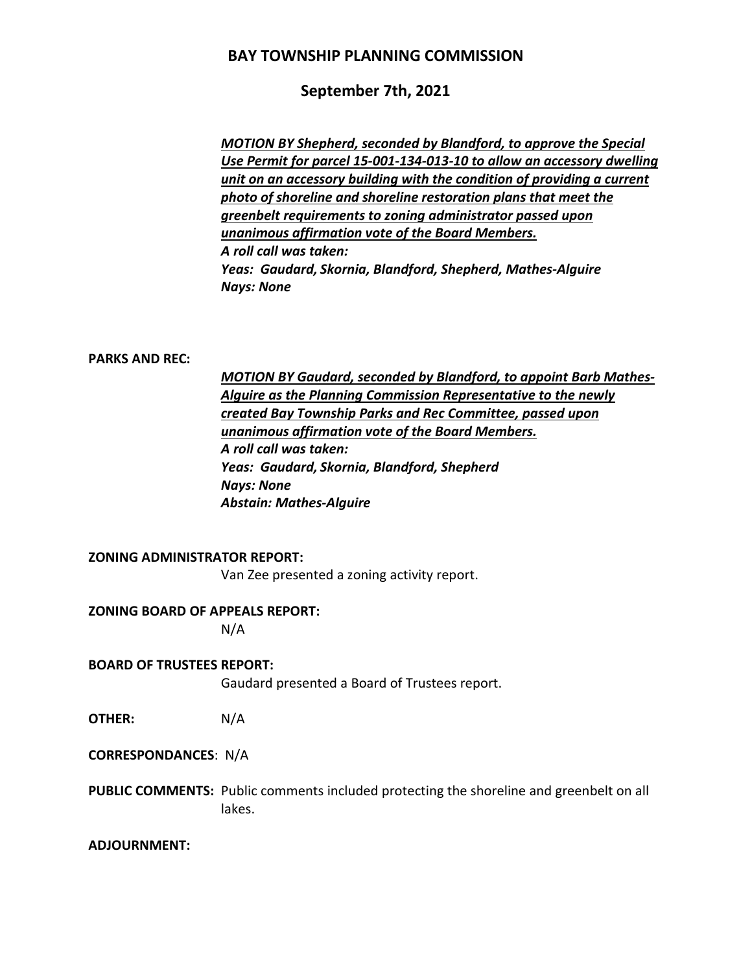## **September 7th, 2021**

*MOTION BY Shepherd, seconded by Blandford, to approve the Special Use Permit for parcel 15-001-134-013-10 to allow an accessory dwelling unit on an accessory building with the condition of providing a current photo of shoreline and shoreline restoration plans that meet the greenbelt requirements to zoning administrator passed upon unanimous affirmation vote of the Board Members. A roll call was taken: Yeas: Gaudard, Skornia, Blandford, Shepherd, Mathes-Alguire Nays: None*

#### **PARKS AND REC:**

*MOTION BY Gaudard, seconded by Blandford, to appoint Barb Mathes-Alguire as the Planning Commission Representative to the newly created Bay Township Parks and Rec Committee, passed upon unanimous affirmation vote of the Board Members. A roll call was taken: Yeas: Gaudard, Skornia, Blandford, Shepherd Nays: None Abstain: Mathes-Alguire*

#### **ZONING ADMINISTRATOR REPORT:**

Van Zee presented a zoning activity report.

#### **ZONING BOARD OF APPEALS REPORT:**

N/A

#### **BOARD OF TRUSTEES REPORT:**

Gaudard presented a Board of Trustees report.

**OTHER:** N/A

**CORRESPONDANCES**: N/A

**PUBLIC COMMENTS:** Public comments included protecting the shoreline and greenbelt on all lakes.

#### **ADJOURNMENT:**